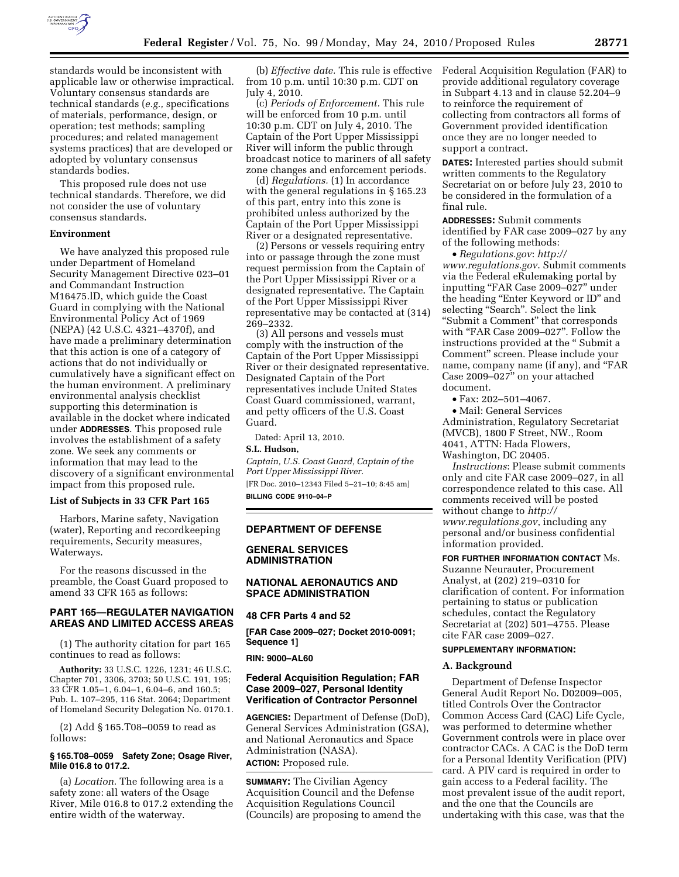

standards would be inconsistent with applicable law or otherwise impractical. Voluntary consensus standards are technical standards (*e.g.,* specifications of materials, performance, design, or operation; test methods; sampling procedures; and related management systems practices) that are developed or adopted by voluntary consensus standards bodies.

This proposed rule does not use technical standards. Therefore, we did not consider the use of voluntary consensus standards.

#### **Environment**

We have analyzed this proposed rule under Department of Homeland Security Management Directive 023–01 and Commandant Instruction M16475.lD, which guide the Coast Guard in complying with the National Environmental Policy Act of 1969 (NEPA) (42 U.S.C. 4321–4370f), and have made a preliminary determination that this action is one of a category of actions that do not individually or cumulatively have a significant effect on the human environment. A preliminary environmental analysis checklist supporting this determination is available in the docket where indicated under **ADDRESSES**. This proposed rule involves the establishment of a safety zone. We seek any comments or information that may lead to the discovery of a significant environmental impact from this proposed rule.

### **List of Subjects in 33 CFR Part 165**

Harbors, Marine safety, Navigation (water), Reporting and recordkeeping requirements, Security measures, Waterways.

For the reasons discussed in the preamble, the Coast Guard proposed to amend 33 CFR 165 as follows:

# **PART 165—REGULATER NAVIGATION AREAS AND LIMITED ACCESS AREAS**

(1) The authority citation for part 165 continues to read as follows:

**Authority:** 33 U.S.C. 1226, 1231; 46 U.S.C. Chapter 701, 3306, 3703; 50 U.S.C. 191, 195; 33 CFR 1.05–1, 6.04–1, 6.04–6, and 160.5; Pub. L. 107–295, 116 Stat. 2064; Department of Homeland Security Delegation No. 0170.1.

(2) Add § 165.T08–0059 to read as follows:

### **§ 165.T08–0059 Safety Zone; Osage River, Mile 016.8 to 017.2.**

(a) *Location.* The following area is a safety zone: all waters of the Osage River, Mile 016.8 to 017.2 extending the entire width of the waterway.

(b) *Effective date.* This rule is effective from 10 p.m. until 10:30 p.m. CDT on July 4, 2010.

(c) *Periods of Enforcement.* This rule will be enforced from 10 p.m. until 10:30 p.m. CDT on July 4, 2010. The Captain of the Port Upper Mississippi River will inform the public through broadcast notice to mariners of all safety zone changes and enforcement periods.

(d) *Regulations.* (1) In accordance with the general regulations in § 165.23 of this part, entry into this zone is prohibited unless authorized by the Captain of the Port Upper Mississippi River or a designated representative.

(2) Persons or vessels requiring entry into or passage through the zone must request permission from the Captain of the Port Upper Mississippi River or a designated representative. The Captain of the Port Upper Mississippi River representative may be contacted at (314) 269–2332.

(3) All persons and vessels must comply with the instruction of the Captain of the Port Upper Mississippi River or their designated representative. Designated Captain of the Port representatives include United States Coast Guard commissioned, warrant, and petty officers of the U.S. Coast Guard.

Dated: April 13, 2010.

# **S.L. Hudson,**

*Captain, U.S. Coast Guard, Captain of the Port Upper Mississippi River.*  [FR Doc. 2010–12343 Filed 5–21–10; 8:45 am]

**BILLING CODE 9110–04–P** 

### **DEPARTMENT OF DEFENSE**

## **GENERAL SERVICES ADMINISTRATION**

# **NATIONAL AERONAUTICS AND SPACE ADMINISTRATION**

#### **48 CFR Parts 4 and 52**

**[FAR Case 2009–027; Docket 2010-0091; Sequence 1]** 

#### **RIN: 9000–AL60**

## **Federal Acquisition Regulation; FAR Case 2009–027, Personal Identity Verification of Contractor Personnel**

**AGENCIES:** Department of Defense (DoD), General Services Administration (GSA), and National Aeronautics and Space Administration (NASA). **ACTION:** Proposed rule.

**SUMMARY:** The Civilian Agency Acquisition Council and the Defense Acquisition Regulations Council (Councils) are proposing to amend the Federal Acquisition Regulation (FAR) to provide additional regulatory coverage in Subpart 4.13 and in clause 52.204–9 to reinforce the requirement of collecting from contractors all forms of Government provided identification once they are no longer needed to support a contract.

**DATES:** Interested parties should submit written comments to the Regulatory Secretariat on or before July 23, 2010 to be considered in the formulation of a final rule.

**ADDRESSES:** Submit comments identified by FAR case 2009–027 by any of the following methods:

• *Regulations.gov*: *http:// www.regulations.gov*. Submit comments via the Federal eRulemaking portal by inputting ''FAR Case 2009–027'' under the heading "Enter Keyword or ID" and selecting "Search". Select the link "Submit a Comment" that corresponds with "FAR Case 2009-027". Follow the instructions provided at the '' Submit a Comment'' screen. Please include your name, company name (if any), and "FAR Case 2009–027'' on your attached document.

• Fax: 202–501–4067.

• Mail: General Services Administration, Regulatory Secretariat (MVCB), 1800 F Street, NW., Room 4041, ATTN: Hada Flowers, Washington, DC 20405.

*Instructions*: Please submit comments only and cite FAR case 2009–027, in all correspondence related to this case. All comments received will be posted without change to *http:// www.regulations.gov*, including any personal and/or business confidential information provided.

**FOR FURTHER INFORMATION CONTACT** Ms. Suzanne Neurauter, Procurement Analyst, at (202) 219–0310 for clarification of content. For information pertaining to status or publication schedules, contact the Regulatory Secretariat at (202) 501–4755. Please cite FAR case 2009–027.

## **SUPPLEMENTARY INFORMATION:**

#### **A. Background**

Department of Defense Inspector General Audit Report No. D02009–005, titled Controls Over the Contractor Common Access Card (CAC) Life Cycle, was performed to determine whether Government controls were in place over contractor CACs. A CAC is the DoD term for a Personal Identity Verification (PIV) card. A PIV card is required in order to gain access to a Federal facility. The most prevalent issue of the audit report, and the one that the Councils are undertaking with this case, was that the